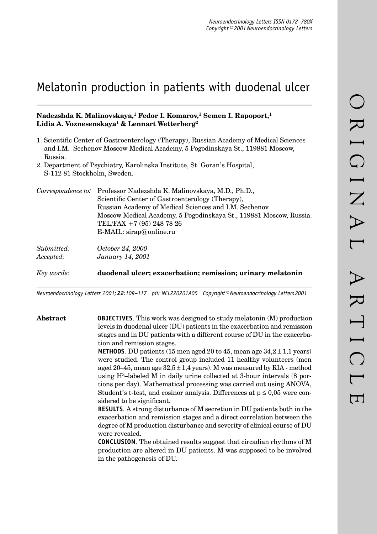# Melatonin production in patients with duodenal ulcer

# **Nadezshda K. Malinovskaya,1 Fedor I. Komarov,1 Semen I. Rapoport,1 Lidia A. Voznesenskaya1 & Lennart Wetterberg2**

1. Scientific Center of Gastroenterology (Therapy), Russian Academy of Medical Sciences and I.M. Sechenov Moscow Medical Academy, 5 Pogodinskaya St., 119881 Moscow, Russia.

2. Department of Psychiatry, Karolinska Institute, St. Goran's Hospital, S-112 81 Stockholm, Sweden.

| Correspondence to:      | Professor Nadezshda K. Malinovskaya, M.D., Ph.D.,<br>Scientific Center of Gastroenterology (Therapy),<br>Russian Academy of Medical Sciences and I.M. Sechenov<br>Moscow Medical Academy, 5 Pogodinskaya St., 119881 Moscow, Russia.<br>TEL/FAX +7 (95) 248 78 26<br>E-MAIL: $\text{sirap@online.ru}$ |
|-------------------------|-------------------------------------------------------------------------------------------------------------------------------------------------------------------------------------------------------------------------------------------------------------------------------------------------------|
| Submitted:<br>Accepted: | <i>October 24, 2000</i><br>January 14, 2001                                                                                                                                                                                                                                                           |
| Key words:              | duodenal ulcer; exacerbation; remission; urinary melatonin                                                                                                                                                                                                                                            |

*Neuroendocrinology Letters 2001; 22:109–117 pii: NEL220201A05 Copyright © Neuroendocrinology Letters 2001*

**Abstract OBJECTIVES***.* This work was designed to study melatonin (M) production levels in duodenal ulcer (DU) patients in the exacerbation and remission stages and in DU patients with a different course of DU in the exacerbation and remission stages.

> **METHODS**. DU patients (15 men aged 20 to 45, mean age  $34.2 \pm 1.1$  years) were studied. The control group included 11 healthy volunteers (men aged 20–45, mean age  $32.5 \pm 1.4$  years). M was measured by RIA - method using H3–labeled M in daily urine collected at 3-hour intervals (8 portions per day). Mathematical processing was carried out using ANOVA, Student's t-test, and cosinor analysis. Differences at  $p \leq 0.05$  were considered to be significant.

> **RESULTS***.* A strong disturbance of M secretion in DU patients both in the exacerbation and remission stages and a direct correlation between the degree of M production disturbance and severity of clinical course of DU were revealed.

> **CONCLUSION***.* The obtained results suggest that circadian rhythms of M production are altered in DU patients. M was supposed to be involved in the pathogenesis of DU.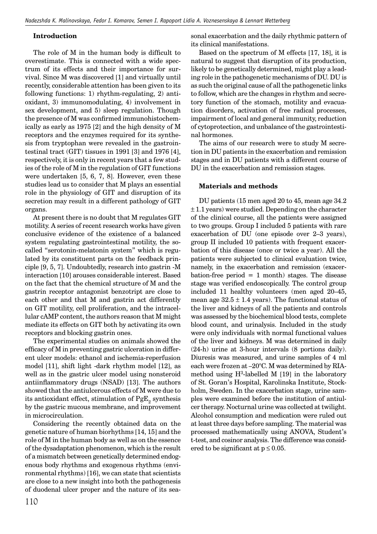## **Introduction**

The role of M in the human body is difficult to overestimate. This is connected with a wide spectrum of its effects and their importance for survival. Since M was discovered [1] and virtually until recently, considerable attention has been given to its following functions: 1) rhythm-regulating, 2) antioxidant, 3) immunomodulating, 4) involvement in sex development, and 5) sleep regulation. Though the presence of M was confirmed immunohistochemically as early as 1975 [2] and the high density of M receptors and the enzymes required for its synthesis from tryptophan were revealed in the gastrointestinal tract (GIT) tissues in 1991 [3] and 1976 [4], respectively, it is only in recent years that a few studies of the role of M in the regulation of GIT functions were undertaken [5, 6, 7, 8]. However, even these studies lead us to consider that M plays an essential role in the physiology of GIT and disruption of its secretion may result in a different pathology of GIT organs.

At present there is no doubt that M regulates GIT motility. A series of recent research works have given conclusive evidence of the existence of a balanced system regulating gastrointestinal motility, the socalled "serotonin-melatonin system" which is regulated by its constituent parts on the feedback principle [9, 5, 7]. Undoubtedly, research into gastrin -M interaction [10] arouses considerable interest. Based on the fact that the chemical structure of M and the gastrin receptor antagonist benzotript are close to each other and that M and gastrin act differently on GIT motility, cell proliferation, and the intracellular cAMP content, the authors reason that M might mediate its effects on GIT both by activating its own receptors and blocking gastrin ones.

The experimental studies on animals showed the efficacy of M in preventing gastric ulceration in different ulcer models: ethanol and ischemia-reperfusion model [11], shift light -dark rhythm model [12], as well as in the gastric ulcer model using nonsteroid antiinflammatory drugs (NSAD) [13]. The authors showed that the antiulcerous effects of M were due to its antioxidant effect, stimulation of  $PgE<sub>o</sub>$  synthesis by the gastric mucous membrane, and improvement in microcirculation.

Considering the recently obtained data on the genetic nature of human biorhythms [14, 15] and the role of M in the human body as well as on the essence of the dysadaptation phenomenon, which is the result of a mismatch between genetically determined endogenous body rhythms and exogenous rhythms (environmental rhythms) [16], we can state that scientists are close to a new insight into both the pathogenesis of duodenal ulcer proper and the nature of its seasonal exacerbation and the daily rhythmic pattern of its clinical manifestations.

Based on the spectrum of M effects [17, 18], it is natural to suggest that disruption of its production, likely to be genetically determined, might play a leading role in the pathogenetic mechanisms of DU. DU is as such the original cause of all the pathogenetic links to follow, which are the changes in rhythm and secretory function of the stomach, motility and evacuation disorders, activation of free radical processes, impairment of local and general immunity, reduction of cytoprotection, and unbalance of the gastrointestinal hormones.

The aims of our research were to study M secretion in DU patients in the exacerbation and remission stages and in DU patients with a different course of DU in the exacerbation and remission stages.

## **Materials and methods**

DU patients (15 men aged 20 to 45, mean age 34.2  $\pm$  1.1 years) were studied. Depending on the character of the clinical course, all the patients were assigned to two groups. Group I included 5 patients with rare exacerbation of DU (one episode over 2–3 years), group II included 10 patients with frequent exacerbation of this disease (once or twice a year). All the patients were subjected to clinical evaluation twice, namely, in the exacerbation and remission (exacerbation-free period  $= 1$  month) stages. The disease stage was verified endoscopically. The control group included 11 healthy volunteers (men aged 20–45, mean age  $32.5 \pm 1.4$  years). The functional status of the liver and kidneys of all the patients and controls was assessed by the biochemical blood tests, complete blood count, and urinalysis. Included in the study were only individuals with normal functional values of the liver and kidneys. M was determined in daily (24-h) urine at 3-hour intervals (8 portions daily). Diuresis was measured, and urine samples of 4 ml each were frozen at –20°C. M was determined by RIAmethod using  $H^3$ -labelled M [19] in the laboratory of St. Goran's Hospital, Karolinska Institute, Stockholm, Sweden. In the exacerbation stage, urine samples were examined before the institution of antiulcer therapy. Nocturnal urine was collected at twilight. Alcohol consumption and medication were ruled out at least three days before sampling. The material was processed mathematically using ANOVA, Student's t-test, and cosinor analysis. The difference was considered to be significant at  $p \leq 0.05$ .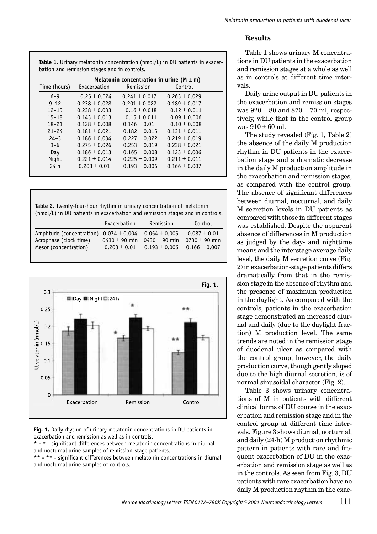# **Results**

**Table 1.** Urinary melatonin concentration (nmol/L) in DU patients in exacerbation and remission stages and in controls.

| Time (hours)    | Melatonin concentration in urine ( $M \pm m$ )<br>Exacerbation<br>Control<br>Remission |                   |                   |  |  |
|-----------------|----------------------------------------------------------------------------------------|-------------------|-------------------|--|--|
| $6 - 9$         | $0.25 \pm 0.024$                                                                       | $0.241 \pm 0.017$ | $0.263 \pm 0.029$ |  |  |
| $9 - 12$        | $0.238 \pm 0.028$                                                                      | $0.201 \pm 0.022$ | $0.189 \pm 0.017$ |  |  |
| $12 - 15$       | $0.238 \pm 0.033$                                                                      | $0.16 \pm 0.018$  | $0.12 \pm 0.011$  |  |  |
| $15 - 18$       | $0.143 \pm 0.013$                                                                      | $0.15 \pm 0.011$  | $0.09 \pm 0.006$  |  |  |
| $18 - 21$       | $0.128 \pm 0.008$                                                                      | $0.146 \pm 0.01$  | $0.10 \pm 0.008$  |  |  |
| $21 - 24$       | $0.181 \pm 0.021$                                                                      | $0.182 \pm 0.015$ | $0.131 \pm 0.011$ |  |  |
| $24 - 3$        | $0.186 \pm 0.034$                                                                      | $0.227 \pm 0.022$ | $0.219 \pm 0.019$ |  |  |
| $3 - 6$         | $0.275 \pm 0.026$                                                                      | $0.253 \pm 0.019$ | $0.238 \pm 0.021$ |  |  |
| Day             | $0.186 \pm 0.013$                                                                      | $0.165 \pm 0.008$ | $0.123 \pm 0.006$ |  |  |
| Night           | $0.221 \pm 0.014$                                                                      | $0.225 \pm 0.009$ | $0.211 \pm 0.011$ |  |  |
| 24 <sub>h</sub> | $0.203 \pm 0.01$                                                                       | $0.193 \pm 0.006$ | $0.166 \pm 0.007$ |  |  |
|                 |                                                                                        |                   |                   |  |  |

**Table 2.** Twenty-four-hour rhythm in urinary concentration of melatonin (nmol/L) in DU patients in exacerbation and remission stages and in controls.

|                                                                                                | Exacerbation                          | Remission                                                   | Control                                                    |
|------------------------------------------------------------------------------------------------|---------------------------------------|-------------------------------------------------------------|------------------------------------------------------------|
| Amplitude (concentration) $0.074 \pm 0.004$<br>Acrophase (clock time)<br>Mesor (concentration) | $0430 \pm 90$ min<br>$0.203 \pm 0.01$ | $0.054 \pm 0.005$<br>0430 $\pm$ 90 min<br>$0.193 \pm 0.006$ | $0.087 \pm 0.01$<br>$0730 \pm 90$ min<br>$0.166 \pm 0.007$ |



**Fig. 1.** Daily rhythm of urinary melatonin concentrations in DU patients in exacerbation and remission as well as in controls.

\* - \* - significant differences between melatonin concentrations in diurnal and nocturnal urine samples of remission-stage patients.

\*\* - \*\* - significant differences between melatonin concentrations in diurnal and nocturnal urine samples of controls.

Table 1 shows urinary M concentrations in DU patients in the exacerbation and remission stages at a whole as well as in controls at different time intervals.

Daily urine output in DU patients in the exacerbation and remission stages was  $920 \pm 80$  and  $870 \pm 70$  ml, respectively, while that in the control group was  $910 + 60$  ml.

The study revealed (Fig. 1, Table 2) the absence of the daily M production rhythm in DU patients in the exacerbation stage and a dramatic decrease in the daily M production amplitude in the exacerbation and remission stages, as compared with the control group. The absence of significant differences between diurnal, nocturnal, and daily M secretion levels in DU patients as compared with those in different stages was established. Despite the apparent absence of differences in M production as judged by the day- and nighttime means and the interstage average daily level, the daily M secretion curve (Fig. 2) in exacerbation-stage patients differs dramatically from that in the remission stage in the absence of rhythm and the presence of maximum production in the daylight. As compared with the controls, patients in the exacerbation stage demonstrated an increased diurnal and daily (due to the daylight fraction) M production level. The same trends are noted in the remission stage of duodenal ulcer as compared with the control group; however, the daily production curve, though gently sloped due to the high diurnal secretion, is of normal sinusoidal character (Fig. 2).

Table 3 shows urinary concentrations of M in patients with different clinical forms of DU course in the exacerbation and remission stage and in the control group at different time intervals. Figure 3 shows diurnal, nocturnal, and daily (24-h) M production rhythmic pattern in patients with rare and frequent exacerbation of DU in the exacerbation and remission stage as well as in the controls. As seen from Fig. 3, DU patients with rare exacerbation have no daily M production rhythm in the exac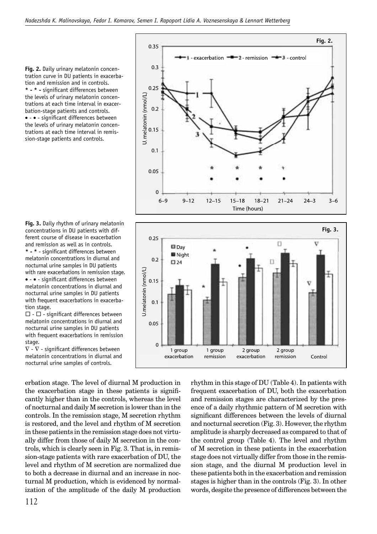0.35

 $0.3$ 

 $0.25$ 



**Fig. 3.** Daily rhythm of urinary melatonin concentrations in DU patients with different course of disease in exacerbation and remission as well as in controls. \* - \* - significant differences between melatonin concentrations in diurnal and nocturnal urine samples in DU patients with rare exacerbations in remission stage. • - • - significant differences between melatonin concentrations in diurnal and nocturnal urine samples in DU patients with frequent exacerbations in exacerbation stage.

 $\Box$  -  $\Box$  - significant differences between melatonin concentrations in diurnal and nocturnal urine samples in DU patients with frequent exacerbations in remission stage.

 $\nabla$  -  $\nabla$  - significant differences between melatonin concentrations in diurnal and nocturnal urine samples of controls.

erbation stage. The level of diurnal M production in the exacerbation stage in these patients is significantly higher than in the controls, whereas the level of nocturnal and daily M secretion is lower than in the controls. In the remission stage, M secretion rhythm is restored, and the level and rhythm of M secretion in these patients in the remission stage does not virtually differ from those of daily M secretion in the controls, which is clearly seen in Fig. 3. That is, in remission-stage patients with rare exacerbation of DU, the level and rhythm of M secretion are normalized due to both a decrease in diurnal and an increase in nocturnal M production, which is evidenced by normalization of the amplitude of the daily M production rhythm in this stage of DU (Table 4). In patients with frequent exacerbation of DU, both the exacerbation and remission stages are characterized by the presence of a daily rhythmic pattern of M secretion with significant differences between the levels of diurnal and nocturnal secretion (Fig. 3). However, the rhythm amplitude is sharply decreased as compared to that of the control group (Table 4). The level and rhythm of M secretion in these patients in the exacerbation stage does not virtually differ from those in the remission stage, and the diurnal M production level in these patients both in the exacerbation and remission stages is higher than in the controls (Fig. 3). In other words, despite the presence of differences between the



**Fig. 2.**

 $3 - 6$ 

 $\leftarrow$  i control

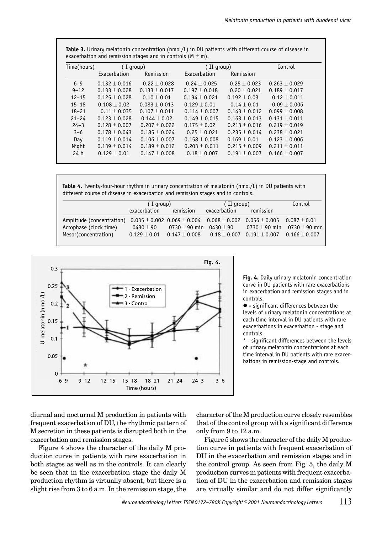| exacerbation and remission stages and in controls ( $M \pm m$ ). |                   |                   |                   |                   |                   |  |
|------------------------------------------------------------------|-------------------|-------------------|-------------------|-------------------|-------------------|--|
| Time(hours)                                                      | I group)          |                   | (II group)        |                   | Control           |  |
|                                                                  | Exacerbation      | Remission         | Exacerbation      | Remission         |                   |  |
| $6 - 9$                                                          | $0.132 \pm 0.016$ | $0.22 \pm 0.028$  | $0.24 \pm 0.025$  | $0.25 \pm 0.023$  | $0.263 \pm 0.029$ |  |
| $9 - 12$                                                         | $0.133 \pm 0.028$ | $0.133 \pm 0.017$ | $0.197 \pm 0.018$ | $0.20 \pm 0.021$  | $0.189 \pm 0.017$ |  |
| $12 - 15$                                                        | $0.125 \pm 0.028$ | $0.10 \pm 0.01$   | $0.194 \pm 0.021$ | $0.192 \pm 0.03$  | $0.12 \pm 0.011$  |  |
| $15 - 18$                                                        | $0.108 \pm 0.02$  | $0.083 \pm 0.013$ | $0.129 \pm 0.01$  | $0.14 \pm 0.01$   | $0.09 \pm 0.006$  |  |
| $18 - 21$                                                        | $0.11 \pm 0.035$  | $0.107 \pm 0.011$ | $0.114 \pm 0.007$ | $0.143 \pm 0.012$ | $0.099 \pm 0.008$ |  |
| $21 - 24$                                                        | $0.123 \pm 0.028$ | $0.144 \pm 0.02$  | $0.149 \pm 0.015$ | $0.163 \pm 0.013$ | $0.131 \pm 0.011$ |  |
| $24 - 3$                                                         | $0.128 \pm 0.007$ | $0.207 \pm 0.022$ | $0.175 \pm 0.02$  | $0.213 \pm 0.016$ | $0.219 \pm 0.019$ |  |
| $3 - 6$                                                          | $0.178 \pm 0.043$ | $0.185 \pm 0.024$ | $0.25 \pm 0.021$  | $0.235 \pm 0.014$ | $0.238 \pm 0.021$ |  |
| Day                                                              | $0.119 \pm 0.014$ | $0.106 \pm 0.007$ | $0.158 \pm 0.008$ | $0.169 \pm 0.01$  | $0.123 \pm 0.006$ |  |
| Night                                                            | $0.139 \pm 0.014$ | $0.189 \pm 0.012$ | $0.203 \pm 0.011$ | $0.215 \pm 0.009$ | $0.211 \pm 0.011$ |  |
| 24h                                                              | $0.129 \pm 0.01$  | $0.147 \pm 0.008$ | $0.18 \pm 0.007$  | $0.191 \pm 0.007$ | $0.166 \pm 0.007$ |  |
|                                                                  |                   |                   |                   |                   |                   |  |

**Table 3.** Urinary melatonin concentration (nmol/L) in DU patients with different course of disease in exacerbation and remission stages and in controls (M  $\pm$  m).

**Table 4.** Twenty-four-hour rhythm in urinary concentration of melatonin (nmol/L) in DU patients with different course of disease in exacerbation and remission stages and in controls.

|                                                     | (Iqroup)         |                                 | (II group)   |                                                                                                                                 | Control |
|-----------------------------------------------------|------------------|---------------------------------|--------------|---------------------------------------------------------------------------------------------------------------------------------|---------|
|                                                     | exacerbation     | remission                       | exacerbation | remission                                                                                                                       |         |
| Amplitude (concentration)<br>Acrophase (clock time) | $0430 \pm 90$    | $0730 \pm 90$ min $0430 \pm 90$ |              | $0.035 \pm 0.002$ $0.069 \pm 0.004$ $0.068 \pm 0.002$ $0.056 \pm 0.005$ $0.087 \pm 0.01$<br>0730 $\pm$ 90 min 0730 $\pm$ 90 min |         |
| Mesor(concentration)                                | $0.129 \pm 0.01$ | $0.147 \pm 0.008$               |              | $0.18 \pm 0.007$ $0.191 \pm 0.007$ $0.166 \pm 0.007$                                                                            |         |



**Fig. 4.** Daily urinary melatonin concentration curve in DU patients with rare exacerbations in exacerbation and remission stages and in controls.

 $\bullet$  - significant differences between the levels of urinary melatonin concentrations at each time interval in DU patients with rare exacerbations in exacerbation - stage and controls.

\* - significant differences between the levels of urinary melatonin concentrations at each time interval in DU patients with rare exacerbations in remission-stage and controls.

diurnal and nocturnal M production in patients with frequent exacerbation of DU, the rhythmic pattern of M secretion in these patients is disrupted both in the exacerbation and remission stages.

Figure 4 shows the character of the daily M production curve in patients with rare exacerbation in both stages as well as in the controls. It can clearly be seen that in the exacerbation stage the daily M production rhythm is virtually absent, but there is a slight rise from 3 to 6 a.m. In the remission stage, the character of the M production curve closely resembles that of the control group with a significant difference only from 9 to 12 a.m.

Figure 5 shows the character of the daily M production curve in patients with frequent exacerbation of DU in the exacerbation and remission stages and in the control group. As seen from Fig. 5, the daily M production curves in patients with frequent exacerbation of DU in the exacerbation and remission stages are virtually similar and do not differ significantly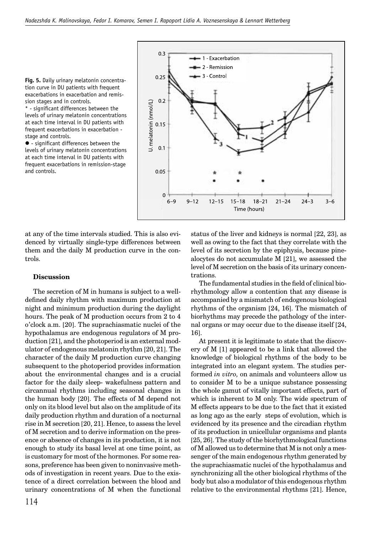**Fig. 5.** Daily urinary melatonin concentration curve in DU patients with frequent exacerbations in exacerbation and remission stages and in controls.

\* - significant differences between the levels of urinary melatonin concentrations at each time interval in DU patients with frequent exacerbations in exacerbation stage and controls.

 $\bullet$  - significant differences between the levels of urinary melatonin concentrations at each time interval in DU patients with frequent exacerbations in remission-stage and controls.



at any of the time intervals studied. This is also evidenced by virtually single-type differences between them and the daily M production curve in the controls.

#### **Discussion**

The secretion of M in humans is subject to a welldefined daily rhythm with maximum production at night and minimum production during the daylight hours. The peak of M production occurs from 2 to 4 o'clock a.m. [20]. The suprachiasmatic nuclei of the hypothalamus are endogenous regulators of M production [21], and the photoperiod is an external modulator of endogenous melatonin rhythm [20, 21]. The character of the daily M production curve changing subsequent to the photoperiod provides information about the environmental changes and is a crucial factor for the daily sleep- wakefulness pattern and circannual rhythms including seasonal changes in the human body [20]. The effects of M depend not only on its blood level but also on the amplitude of its daily production rhythm and duration of a nocturnal rise in M secretion [20, 21]. Hence, to assess the level of M secretion and to derive information on the presence or absence of changes in its production, it is not enough to study its basal level at one time point, as is customary for most of the hormones. For some reasons, preference has been given to noninvasive methods of investigation in recent years. Due to the existence of a direct correlation between the blood and urinary concentrations of M when the functional

status of the liver and kidneys is normal [22, 23], as well as owing to the fact that they correlate with the level of its secretion by the epiphysis, because pinealocytes do not accumulate M [21], we assessed the level of M secretion on the basis of its urinary concentrations.

The fundamental studies in the field of clinical biorhythmology allow a contention that any disease is accompanied by a mismatch of endogenous biological rhythms of the organism [24, 16]. The mismatch of biorhythms may precede the pathology of the internal organs or may occur due to the disease itself [24, 16].

At present it is legitimate to state that the discovery of M [1] appeared to be a link that allowed the knowledge of biological rhythms of the body to be integrated into an elegant system. The studies performed *in vitro,* on animals and volunteers allow us to consider M to be a unique substance possessing the whole gamut of vitally important effects, part of which is inherent to M only. The wide spectrum of M effects appears to be due to the fact that it existed as long ago as the early steps of evolution, which is evidenced by its presence and the circadian rhythm of its production in unicellular organisms and plants [25, 26]. The study of the biorhythmological functions of M allowed us to determine that M is not only a messenger of the main endogenous rhythm generated by the suprachiasmatic nuclei of the hypothalamus and synchronizing all the other biological rhythms of the body but also a modulator of this endogenous rhythm relative to the environmental rhythms [21]. Hence,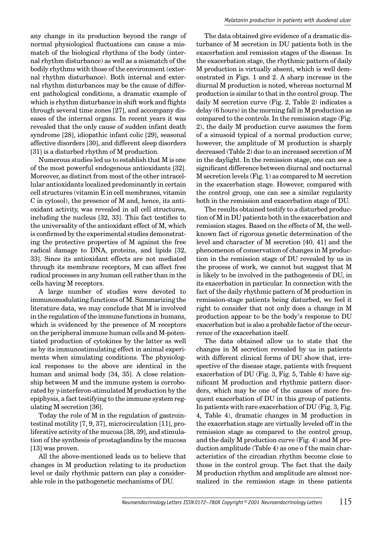any change in its production beyond the range of normal physiological fluctuations can cause a mismatch of the biological rhythms of the body (internal rhythm disturbance) as well as a mismatch of the bodily rhythms with those of the environment (external rhythm disturbance). Both internal and external rhythm disturbances may be the cause of different pathological conditions, a dramatic example of which is rhythm disturbance in shift work and flights through several time zones [27], and accompany diseases of the internal organs. In recent years it was revealed that the only cause of sudden infant death syndrome [28], idiopathic infant colic [29], seasonal affective disorders [30], and different sleep disorders [31] is a disturbed rhythm of M production.

Numerous studies led us to establish that M is one of the most powerful endogenous antioxidants [32]. Moreover, as distinct from most of the other intracellular antioxidants localized predominantly in certain cell structures (vitamin E in cell membranes, vitamin C in cytosol), the presence of M and, hence, its antioxidant activity, was revealed in all cell structures, including the nucleus  $[32, 33]$ . This fact testifies to the universality of the antioxidant effect of M, which is confirmed by the experimental studies demonstrating the protective properties of M against the free radical damage to DNA, proteins, and lipids [32, 33]. Since its antioxidant effects are not mediated through its membrane receptors, M can affect free radical processes in any human cell rather than in the cells having M receptors.

A large number of studies were devoted to immunomodulating functions of M. Summarizing the literature data, we may conclude that M is involved in the regulation of the immune functions in humans, which is evidenced by the presence of M receptors on the peripheral immune human cells and M-potentiated production of cytokines by the latter as well as by its immunostimulating effect in animal experiments when simulating conditions. The physiological responses to the above are identical in the human and animal body [34, 35]. A close relationship between M and the immune system is corroborated by γ-interferon-stimulated M production by the epiphysis, a fact testifying to the immune system regulating M secretion [36].

Today the role of M in the regulation of gastrointestinal motility [7, 9, 37], microcirculation [11], proliferative activity of the mucosa [38, 39], and stimulation of the synthesis of prostaglandins by the mucosa [13] was proven.

All the above-mentioned leads us to believe that changes in M production relating to its production level or daily rhythmic pattern can play a considerable role in the pathogenetic mechanisms of DU.

The data obtained give evidence of a dramatic disturbance of M secretion in DU patients both in the exacerbation and remission stages of the disease. In the exacerbation stage, the rhythmic pattern of daily M production is virtually absent, which is well demonstrated in Figs. 1 and 2. A sharp increase in the diurnal M production is noted, whereas nocturnal M production is similar to that in the control group. The daily M secretion curve (Fig. 2, Table 2) indicates a delay (6 hours) in the morning fall in M production as compared to the controls. In the remission stage (Fig. 2), the daily M production curve assumes the form of a sinusoid typical of a normal production curve; however, the amplitude of M production is sharply decreased (Table 2) due to an increased secretion of M in the daylight. In the remission stage, one can see a significant difference between diurnal and nocturnal M secretion levels (Fig. 1) as compared to M secretion in the exacerbation stage. However, compared with the control group, one can see a similar regularity both in the remission and exacerbation stage of DU.

The results obtained testify to a disturbed production of M in DU patients both in the exacerbation and remission stages. Based on the effects of M, the wellknown fact of rigorous genetic determination of the level and character of M secretion [40, 41] and the phenomenon of conservation of changes in M production in the remission stage of DU revealed by us in the process of work, we cannot but suggest that M is likely to be involved in the pathogenesis of DU, in its exacerbation in particular. In connection with the fact of the daily rhythmic pattern of M production in remission-stage patients being disturbed, we feel it right to consider that not only does a change in M production appear to be the body's response to DU exacerbation but is also a probable factor of the occurrence of the exacerbation itself.

The data obtained allow us to state that the changes in M secretion revealed by us in patients with different clinical forms of DU show that, irrespective of the disease stage, patients with frequent exacerbation of DU (Fig. 3, Fig. 5, Table 4) have significant M production and rhythmic pattern disorders, which may be one of the causes of more frequent exacerbation of DU in this group of patients. In patients with rare exacerbation of DU (Fig. 3, Fig. 4, Table 4), dramatic changes in M production in the exacerbation stage are virtually leveled off in the remission stage as compared to the control group, and the daily M production curve (Fig. 4) and M production amplitude (Table 4) as one o f the main characteristics of the circadian rhythm become close to those in the control group. The fact that the daily M production rhythm and amplitude are almost normalized in the remission stage in these patients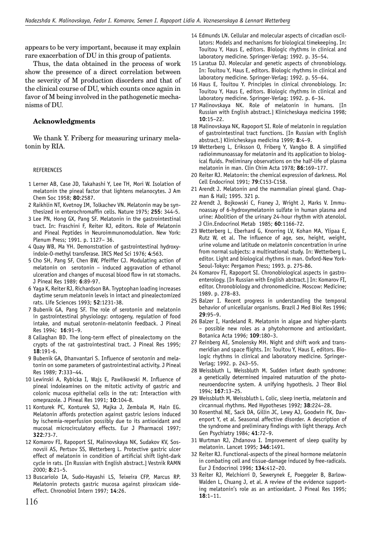appears to be very important, because it may explain rare exacerbation of DU in this group of patients.

Thus, the data obtained in the process of work show the presence of a direct correlation between the severity of M production disorders and that of the clinical course of DU, which counts once again in favor of M being involved in the pathogenetic mechanisms of DU.

# **Acknowledgments**

We thank Y. Friberg for measuring urinary melatonin by RIA.

## REFERENCES

- 1 Lerner AB, Case JD, Takahashi Y, Lee TH, Mori W. Isolation of melatonin the pineal factor that lightens melanocytes. J Am Chem Soc 1958; **80**:2587.
- 2 Raikhlin NT, Kvetnoy IM, Tolkachev VN. Melatonin may be synthesized in enterochromaffin cells. Nature 1975; 255: 344-5.
- 3 Lee PN, Hong GX, Pang SF. Melatonin in the gastrointestinal tract. In: Fraschini F, Reiter RJ, editors. Role of Melatonin and Pineal Peptides in Neuroimmunomodulation. New York: Plenum Press; 1991. p. 1127– 36.
- 4 Quay WB, Ma YH. Demonstration of gastrointestinal hydroxyindole-O-methyl transferase. IRCS Med Sci 1976; **4**:563.
- 5 Cho SH, Pang SF, Chen BW, Pfeiffer CJ. Modulating action of melatonin on serotonin – induced aggravation of ethanol ulceration and changes of mucosal blood flow in rat stomachs. J Pineal Res 1989; **6**:89-97.
- 6 Yaga K, Reiter RJ, Richardson BA. Tryptophan loading increases daytime serum melatonin levels in intact and pinealectomized rats. Life Sciences 1993; **52**:1231-38.
- 7 Bubenik GA, Pang SF. The role of serotonin and melatonin in gastrointestinal physiology: ontogeny, regulation of food intake, and mutual serotonin-melatonin feedback. J Pineal Res 1994; **16**:91–9.
- 8 Callaghan BD. The long-term effect of pinealectomy on the crypts of the rat gastrointestinal tract. J Pineal Res 1995; **18**:191-6.
- 9 Bubenik GA, Dhanvantari S. Influence of serotonin and melatonin on some parameters of gastrointestinal activity. J Pineal Res 1989; **7**:333–44.
- 10 Lewinski A, Rybicka I, Wajs E, Pawlikowski M. Influence of pineal indoleamines on the mitotic activity of gastric and colonic mucosa epithelial cells in the rat: Interaction with omeprazole. J Pineal Res 1991; **10**:104-8.
- 11 Konturek PC, Konturek SJ, Majka J, Zembala M, Haln EG. Melatonin affords protection against gastric lesions induced by ischemia-reperfusion possibly due to its antioxidant and mucosal microcirculatory effects. Eur J Pharmacol 1997; **322**:73-7.
- 12 Komarov FI, Rapoport SI, Malinovskaya NK, Sudakov KV, Sosnovsii AS, Pertsov SS, Wetterberg L. Protective gastric ulcer effect of melatonin in condition of artificial shift light-dark cycle in rats. [In Russian with English abstract.] Vestnik RAMN 2000; **8**:21–5.
- 13 Buscariolo IA, Sudo-Hayashi LS, Teixeira CFP, Marcus RP. Melatonin protects gastric mucosa against piroxicam sideeffect. Chronobiol Intern 1997; **14**:26.
- 14 Edmunds LN. Cellular and molecular aspects of circadian oscillators: Models and mechanisms for biological timekeeping. In: Touitou Y, Haus E, editors. Biologic rhythms in clinical and laboratory medicine. Springer-Verlag; 1992. p. 35–54.
- 15 Laratua DJ. Molecular and genetic aspects of chronobiology. In: Touitou Y, Haus E, editors. Biologic rhythms in clinical and laboratory medicine. Springer-Verlag; 1992. p. 55–64.
- 16 Haus E, Touitou Y. Principles in clinical chronobiology. In: Touitou Y, Haus E, editors. Biologic rhythms in clinical and laboratory medicine. Springer-Verlag; 1992. p. 6–34.
- 17 Malinovskaya NK. Role of melatonin in humans. [In Russian with English abstract.] Klinicheskaya medicina 1998; **10**:15–22.
- 18 Malinovskaya NK, Rapoport SI. Role of melatonin in regulation of gastrointestinal tract functions. [In Russian with English abstract.] Klinicheskaya medicina 1999; **8**:4–9.
- 19 Wetterberg L, Eriksson O, Friberg Y, Vangbo B. A simplified radioimmunoassay for melatonin and its application to biological fluids. Preliminary observations on the half-life of plasma melatonin in man. Clin Chim Acta 1978; **86**:169–177.
- 20 Reiter RJ. Melatonin: the chemical expression of darkness. Mol Cell Endocrinol 1991; **79**:C153-C158.
- 21 Arendt J. Melatonin and the mammalian pineal gland. Chapman & Hall; 1995. 321 p.
- 22 Arendt J, Bojkowski C, Franey J, Wright J, Marks V. Immunoassay of 6-hydroxymelatonin sulfate in human plasma and urine: Abolition of the urinary 24-hour rhythm with atenolol. J Clin.Endocrinol Metab 1985; **60**:1166-72.
- 23 Wetterberg L, Eberhard G, Knorring LV, Kohan MA, Ylipaa E, Rutz W, et al. The influence of age, sex, height, weight, urine volume and latitude on melatonin concentration in urine from normal subjects: a multinational study. In: Wetterberg L, editor. Light and biological rhythms in man. Oxford-New York-Seoul-Tokyo: Pergamon Press; 1993. p. 275-86.
- 24 Komarov FI, Rapoport SI. Chronobiological aspects in gastroenterology. [In Russian with English abstract.] In: Komarov FI, editor. Chronobiology and chronomedicine. Moscow: Medicine; 1989. p. 278–83.
- 25 Balzer I. Recent progress in understanding the temporal behavior of unicellular organisms. Brazil J Med Biol Res 1996; **29**:95–9.
- 26 Balzer I, Hardeland R. Melatonin in algae and higher-plants – possible new roles as a phytohormone and antioxidant. Botanica Acta 1996; **109**:180–3.
- 27 Reinberg AE, Smolensky MH. Night and shift work and transmeridian and space flights. In: Touitou Y, Haus E, editors. Biologic rhythms in clinical and laboratory medicine. Springer-Verlag; 1992. p. 243–55.
- 28 Weissbluth L, Weissbluth M. Sudden infant death syndrome: a genetically determined impaired maturation of the photoneuroendocrine system. A unifying hypothesis. J Theor Biol 1994; **167**:13–25.
- 29 Weissbluth M, Weissbluth L. Colic, sleep inertia, melatonin and circannual rhythms. Med Hypotheses 1992; **38**:224–28.
- 30 Rosenthal NE, Sack DA, Gillin JC, Lewy AJ, Goodwin FK, Davenport Y, et al. Seasonal affective disorder. A description of the syndrome and preliminary findings with light therapy. Arch Gen Psychiatry 1984; **41**:72–9.
- 31 Wurtman RJ, Zhdanova I. Improvement of sleep quality by melatonin. Lancet 1995; **346**:1491.
- 32 Reiter RJ. Functional-aspects of the pineal hormone melatonin in combating cell and tissue-damage induced by free-radicals. Eur J Endocrinol 1996; **134**:412–20.
- 33 Reiter RJ, Melchiorri D, Sewerynek E, Poeggeler B, Barlow-Walden L, Chuang J, et al. A review of the evidence supporting melatonin's role as an antioxidant. J Pineal Res 1995; **18**:1–11.